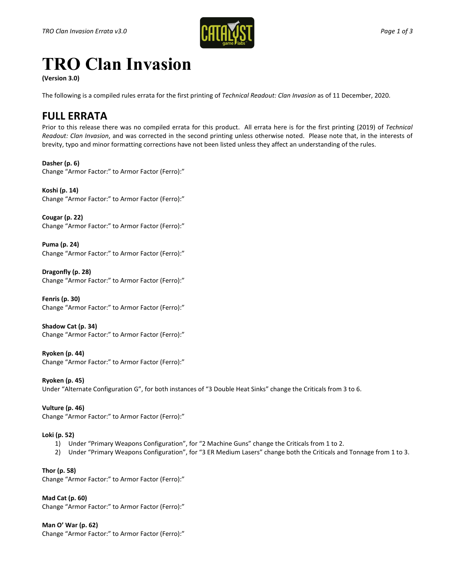

## **TRO Clan Invasion**

**(Version 3.0)**

The following is a compiled rules errata for the first printing of *Technical Readout: Clan Invasion* as of 11 December, 2020.

## **FULL ERRATA**

Prior to this release there was no compiled errata for this product. All errata here is for the first printing (2019) of *Technical Readout: Clan Invasion*, and was corrected in the second printing unless otherwise noted. Please note that, in the interests of brevity, typo and minor formatting corrections have not been listed unless they affect an understanding of the rules.

**Dasher (p. 6)** Change "Armor Factor:" to Armor Factor (Ferro):"

**Koshi (p. 14)** Change "Armor Factor:" to Armor Factor (Ferro):"

**Cougar (p. 22)** Change "Armor Factor:" to Armor Factor (Ferro):"

**Puma (p. 24)** Change "Armor Factor:" to Armor Factor (Ferro):"

**Dragonfly (p. 28)** Change "Armor Factor:" to Armor Factor (Ferro):"

**Fenris (p. 30)** Change "Armor Factor:" to Armor Factor (Ferro):"

**Shadow Cat (p. 34)** Change "Armor Factor:" to Armor Factor (Ferro):"

**Ryoken (p. 44)** Change "Armor Factor:" to Armor Factor (Ferro):"

**Ryoken (p. 45)** Under "Alternate Configuration G", for both instances of "3 Double Heat Sinks" change the Criticals from 3 to 6.

**Vulture (p. 46)** Change "Armor Factor:" to Armor Factor (Ferro):"

## **Loki (p. 52)**

- 1) Under "Primary Weapons Configuration", for "2 Machine Guns" change the Criticals from 1 to 2.
- 2) Under "Primary Weapons Configuration", for "3 ER Medium Lasers" change both the Criticals and Tonnage from 1 to 3.

**Thor (p. 58)** Change "Armor Factor:" to Armor Factor (Ferro):"

**Mad Cat (p. 60)** Change "Armor Factor:" to Armor Factor (Ferro):"

**Man O' War (p. 62)** Change "Armor Factor:" to Armor Factor (Ferro):"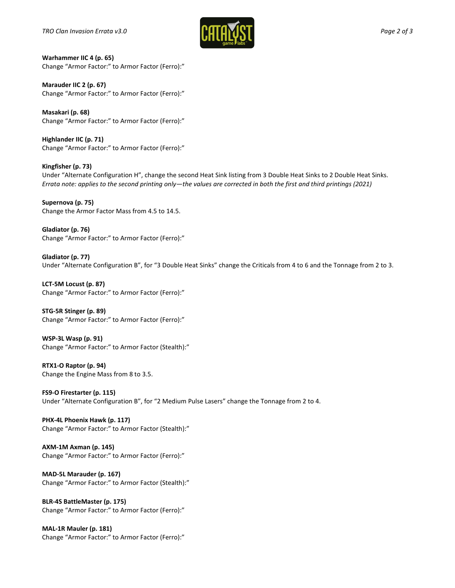

**Warhammer IIC 4 (p. 65)** Change "Armor Factor:" to Armor Factor (Ferro):"

**Marauder IIC 2 (p. 67)** Change "Armor Factor:" to Armor Factor (Ferro):"

**Masakari (p. 68)** Change "Armor Factor:" to Armor Factor (Ferro):"

**Highlander IIC (p. 71)** Change "Armor Factor:" to Armor Factor (Ferro):"

**Kingfisher (p. 73)** Under "Alternate Configuration H", change the second Heat Sink listing from 3 Double Heat Sinks to 2 Double Heat Sinks. *Errata note: applies to the second printing only—the values are corrected in both the first and third printings (2021)*

**Supernova (p. 75)** Change the Armor Factor Mass from 4.5 to 14.5.

**Gladiator (p. 76)** Change "Armor Factor:" to Armor Factor (Ferro):"

**Gladiator (p. 77)** Under "Alternate Configuration B", for "3 Double Heat Sinks" change the Criticals from 4 to 6 and the Tonnage from 2 to 3.

**LCT-5M Locust (p. 87)** Change "Armor Factor:" to Armor Factor (Ferro):"

**STG-5R Stinger (p. 89)** Change "Armor Factor:" to Armor Factor (Ferro):"

**WSP-3L Wasp (p. 91)** Change "Armor Factor:" to Armor Factor (Stealth):"

**RTX1-O Raptor (p. 94)** Change the Engine Mass from 8 to 3.5.

**FS9-O Firestarter (p. 115)** Under "Alternate Configuration B", for "2 Medium Pulse Lasers" change the Tonnage from 2 to 4.

**PHX-4L Phoenix Hawk (p. 117)** Change "Armor Factor:" to Armor Factor (Stealth):"

**AXM-1M Axman (p. 145)** Change "Armor Factor:" to Armor Factor (Ferro):"

**MAD-5L Marauder (p. 167)** Change "Armor Factor:" to Armor Factor (Stealth):"

**BLR-4S BattleMaster (p. 175)** Change "Armor Factor:" to Armor Factor (Ferro):"

**MAL-1R Mauler (p. 181)** Change "Armor Factor:" to Armor Factor (Ferro):"